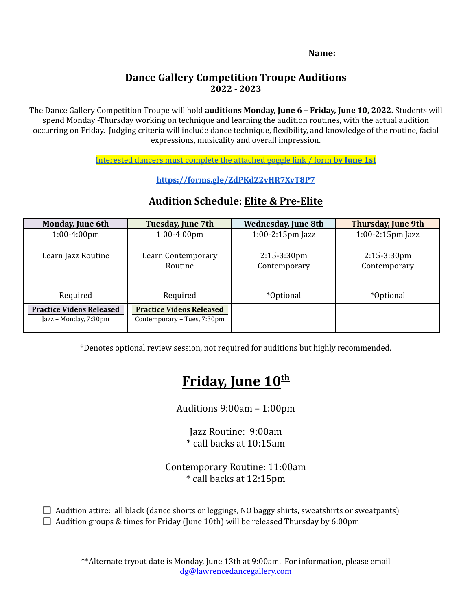**Name: \_\_\_\_\_\_\_\_\_\_\_\_\_\_\_\_\_\_\_\_\_\_\_\_\_\_\_\_\_\_**

## **Dance Gallery Competition Troupe Auditions 2022 - 2023**

The Dance Gallery Competition Troupe will hold **auditions Monday, June 6 – Friday, June 10, 2022.** Students will spend Monday -Thursday working on technique and learning the audition routines, with the actual audition occurring on Friday. Judging criteria will include dance technique, flexibility, and knowledge of the routine, facial expressions, musicality and overall impression.

[Interested](https://forms.gle/ZdPKdZ2vHR7XvT8P7) dancers must complete the attached goggle link / form **by June 1st**

**<https://forms.gle/ZdPKdZ2vHR7XvT8P7>**

| <b>Monday, June 6th</b>                                  | Tuesday, June 7th                                              | <b>Wednesday, June 8th</b>     | <b>Thursday, June 9th</b>      |
|----------------------------------------------------------|----------------------------------------------------------------|--------------------------------|--------------------------------|
| $1:00-4:00$ pm                                           | $1:00-4:00$ pm                                                 | $1:00-2:15$ pm Jazz            | $1:00-2:15$ pm Jazz            |
| Learn Jazz Routine                                       | Learn Contemporary<br>Routine                                  | $2:15-3:30$ pm<br>Contemporary | $2:15-3:30$ pm<br>Contemporary |
| Required                                                 | Required                                                       | <i>*</i> Optional              | <i>*Optional</i>               |
| <b>Practice Videos Released</b><br>Jazz – Monday, 7:30pm | <b>Practice Videos Released</b><br>Contemporary – Tues, 7:30pm |                                |                                |

## **Audition Schedule: Elite & Pre-Elite**

\*Denotes optional review session, not required for auditions but highly recommended.

# **Friday, June 10 th**

Auditions 9:00am – 1:00pm

Jazz Routine: 9:00am \* call backs at 10:15am

Contemporary Routine: 11:00am \* call backs at 12:15pm

 $\Box$  Audition attire: all black (dance shorts or leggings, NO baggy shirts, sweatshirts or sweatpants)  $\Box$  Audition groups & times for Friday (June 10th) will be released Thursday by 6:00pm

> \*\*Alternate tryout date is Monday, June 13th at 9:00am. For information, please email [dg@lawrencedancegallery.com](mailto:dg@lawrencedancegallery.com)